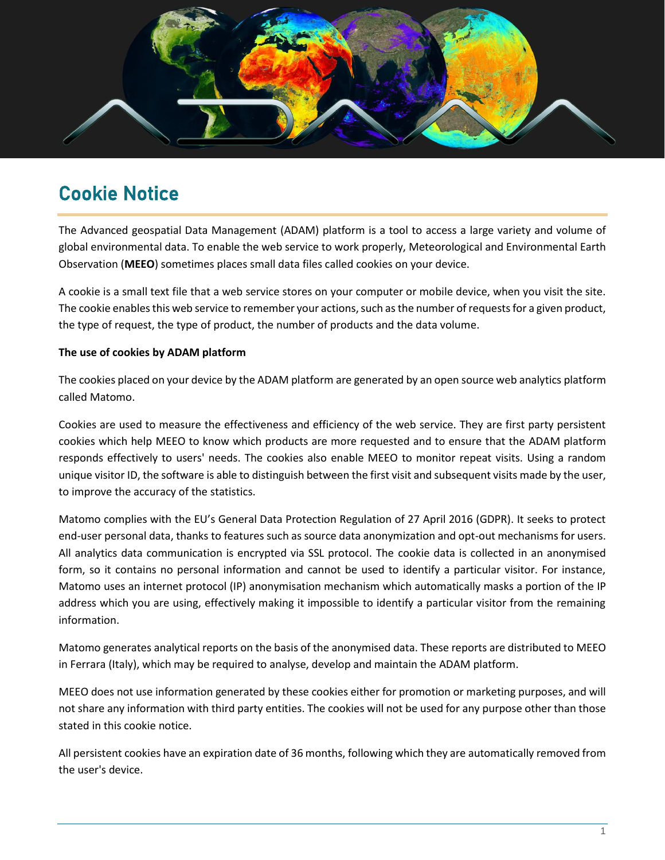

# Cookie Notice

The Advanced geospatial Data Management (ADAM) platform is a tool to access a large variety and volume of global environmental data. To enable the web service to work properly, Meteorological and Environmental Earth Observation (**MEEO**) sometimes places small data files called cookies on your device.

A cookie is a small text file that a web service stores on your computer or mobile device, when you visit the site. The cookie enables this web service to remember your actions, such as the number of requests for a given product, the type of request, the type of product, the number of products and the data volume.

## **The use of cookies by ADAM platform**

The cookies placed on your device by the ADAM platform are generated by an open source web analytics platform called Matomo.

Cookies are used to measure the effectiveness and efficiency of the web service. They are first party persistent cookies which help MEEO to know which products are more requested and to ensure that the ADAM platform responds effectively to users' needs. The cookies also enable MEEO to monitor repeat visits. Using a random unique visitor ID, the software is able to distinguish between the first visit and subsequent visits made by the user, to improve the accuracy of the statistics.

Matomo complies with the EU's General Data Protection Regulation of 27 April 2016 (GDPR). It seeks to protect end-user personal data, thanks to features such as source data anonymization and opt-out mechanisms for users. All analytics data communication is encrypted via SSL protocol. The cookie data is collected in an anonymised form, so it contains no personal information and cannot be used to identify a particular visitor. For instance, Matomo uses an internet protocol (IP) anonymisation mechanism which automatically masks a portion of the IP address which you are using, effectively making it impossible to identify a particular visitor from the remaining information.

Matomo generates analytical reports on the basis of the anonymised data. These reports are distributed to MEEO in Ferrara (Italy), which may be required to analyse, develop and maintain the ADAM platform.

MEEO does not use information generated by these cookies either for promotion or marketing purposes, and will not share any information with third party entities. The cookies will not be used for any purpose other than those stated in this cookie notice.

All persistent cookies have an expiration date of 36 months, following which they are automatically removed from the user's device.